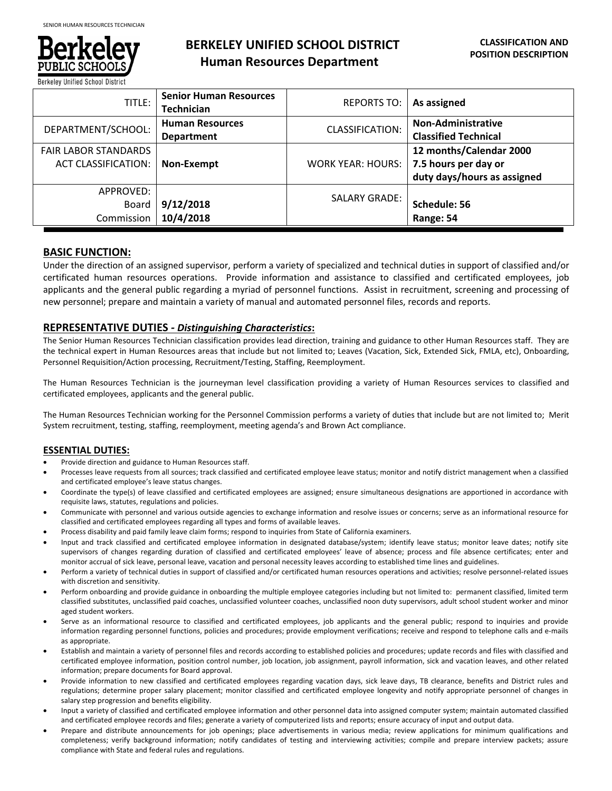

# **BERKELEY UNIFIED SCHOOL DISTRICT Human Resources Department**

| TITLE:                      | <b>Senior Human Resources</b><br><b>Technician</b> | <b>REPORTS TO:</b>       | As assigned                 |
|-----------------------------|----------------------------------------------------|--------------------------|-----------------------------|
| DEPARTMENT/SCHOOL:          | <b>Human Resources</b>                             | <b>CLASSIFICATION:</b>   | <b>Non-Administrative</b>   |
|                             | <b>Department</b>                                  |                          | <b>Classified Technical</b> |
| <b>FAIR LABOR STANDARDS</b> |                                                    |                          | 12 months/Calendar 2000     |
| <b>ACT CLASSIFICATION:</b>  | Non-Exempt                                         | <b>WORK YEAR: HOURS:</b> | 7.5 hours per day or        |
|                             |                                                    |                          | duty days/hours as assigned |
| APPROVED:                   |                                                    | <b>SALARY GRADE:</b>     |                             |
| Board                       | 9/12/2018                                          |                          | Schedule: 56                |
| Commission                  | 10/4/2018                                          |                          | Range: 54                   |

# **BASIC FUNCTION:**

Under the direction of an assigned supervisor, perform a variety of specialized and technical duties in support of classified and/or certificated human resources operations. Provide information and assistance to classified and certificated employees, job applicants and the general public regarding a myriad of personnel functions. Assist in recruitment, screening and processing of new personnel; prepare and maintain a variety of manual and automated personnel files, records and reports.

## **REPRESENTATIVE DUTIES** *‐ Distinguishing Characteristics***:**

The Senior Human Resources Technician classification provides lead direction, training and guidance to other Human Resources staff. They are the technical expert in Human Resources areas that include but not limited to; Leaves (Vacation, Sick, Extended Sick, FMLA, etc), Onboarding, Personnel Requisition/Action processing, Recruitment/Testing, Staffing, Reemployment.

The Human Resources Technician is the journeyman level classification providing a variety of Human Resources services to classified and certificated employees, applicants and the general public.

The Human Resources Technician working for the Personnel Commission performs a variety of duties that include but are not limited to; Merit System recruitment, testing, staffing, reemployment, meeting agenda's and Brown Act compliance.

# **ESSENTIAL DUTIES:**

- Provide direction and guidance to Human Resources staff.
- Processes leave requests from all sources; track classified and certificated employee leave status; monitor and notify district management when a classified and certificated employee's leave status changes.
- Coordinate the type(s) of leave classified and certificated employees are assigned; ensure simultaneous designations are apportioned in accordance with requisite laws, statutes, regulations and policies.
- Communicate with personnel and various outside agencies to exchange information and resolve issues or concerns; serve as an informational resource for classified and certificated employees regarding all types and forms of available leaves.
- Process disability and paid family leave claim forms; respond to inquiries from State of California examiners.
- Input and track classified and certificated employee information in designated database/system; identify leave status; monitor leave dates; notify site supervisors of changes regarding duration of classified and certificated employees' leave of absence; process and file absence certificates; enter and monitor accrual of sick leave, personal leave, vacation and personal necessity leaves according to established time lines and guidelines.
- Perform a variety of technical duties in support of classified and/or certificated human resources operations and activities; resolve personnel-related issues with discretion and sensitivity.
- Perform onboarding and provide guidance in onboarding the multiple employee categories including but not limited to: permanent classified, limited term classified substitutes, unclassified paid coaches, unclassified volunteer coaches, unclassified noon duty supervisors, adult school student worker and minor aged student workers.
- Serve as an informational resource to classified and certificated employees, job applicants and the general public; respond to inquiries and provide information regarding personnel functions, policies and procedures; provide employment verifications; receive and respond to telephone calls and e‐mails as appropriate.
- Establish and maintain a variety of personnel files and records according to established policies and procedures; update records and files with classified and certificated employee information, position control number, job location, job assignment, payroll information, sick and vacation leaves, and other related information; prepare documents for Board approval.
- Provide information to new classified and certificated employees regarding vacation days, sick leave days, TB clearance, benefits and District rules and regulations; determine proper salary placement; monitor classified and certificated employee longevity and notify appropriate personnel of changes in salary step progression and benefits eligibility.
- Input a variety of classified and certificated employee information and other personnel data into assigned computer system; maintain automated classified and certificated employee records and files; generate a variety of computerized lists and reports; ensure accuracy of input and output data.
- Prepare and distribute announcements for job openings; place advertisements in various media; review applications for minimum qualifications and completeness; verify background information; notify candidates of testing and interviewing activities; compile and prepare interview packets; assure compliance with State and federal rules and regulations.